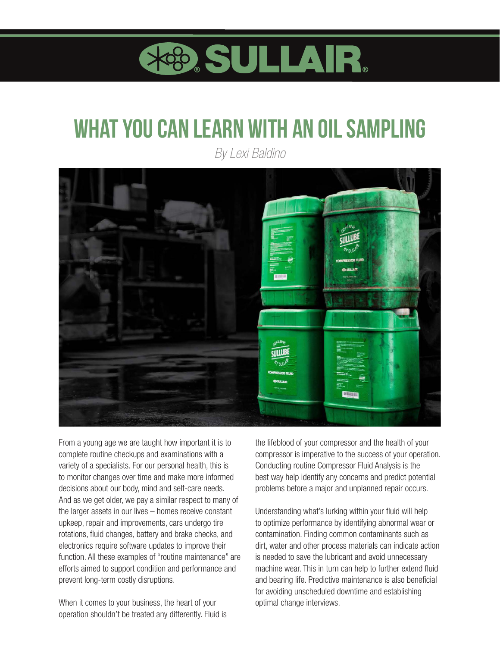

## **what you can learn with an oil sampling**

*By Lexi Baldino*



From a young age we are taught how important it is to complete routine checkups and examinations with a variety of a specialists. For our personal health, this is to monitor changes over time and make more informed decisions about our body, mind and self-care needs. And as we get older, we pay a similar respect to many of the larger assets in our lives – homes receive constant upkeep, repair and improvements, cars undergo tire rotations, fluid changes, battery and brake checks, and electronics require software updates to improve their function. All these examples of "routine maintenance" are efforts aimed to support condition and performance and prevent long-term costly disruptions.

When it comes to your business, the heart of your operation shouldn't be treated any differently. Fluid is the lifeblood of your compressor and the health of your compressor is imperative to the success of your operation. Conducting routine Compressor Fluid Analysis is the best way help identify any concerns and predict potential problems before a major and unplanned repair occurs.

Understanding what's lurking within your fluid will help to optimize performance by identifying abnormal wear or contamination. Finding common contaminants such as dirt, water and other process materials can indicate action is needed to save the lubricant and avoid unnecessary machine wear. This in turn can help to further extend fluid and bearing life. Predictive maintenance is also beneficial for avoiding unscheduled downtime and establishing optimal change interviews.